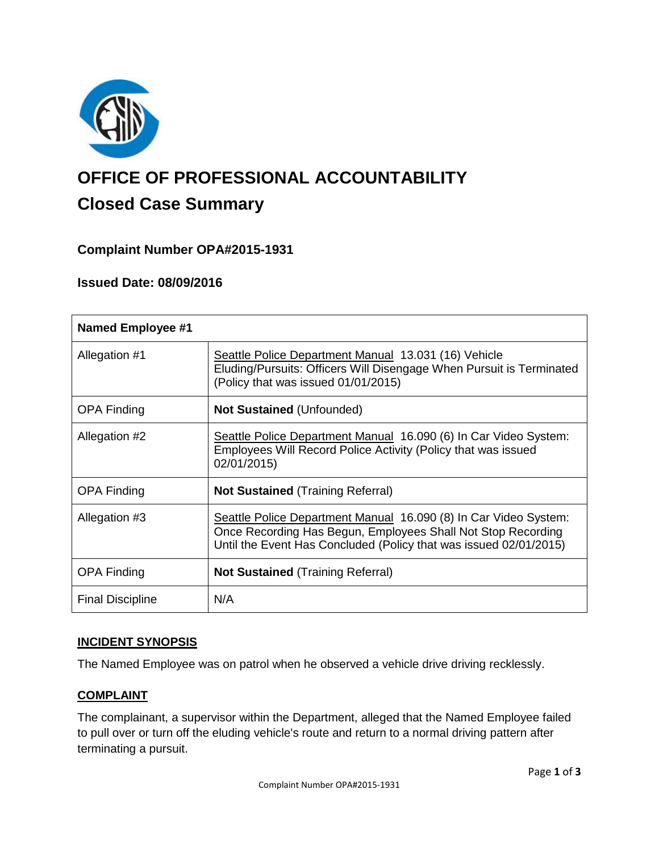

# **OFFICE OF PROFESSIONAL ACCOUNTABILITY Closed Case Summary**

## **Complaint Number OPA#2015-1931**

### **Issued Date: 08/09/2016**

| <b>Named Employee #1</b> |                                                                                                                                                                                                       |
|--------------------------|-------------------------------------------------------------------------------------------------------------------------------------------------------------------------------------------------------|
| Allegation #1            | Seattle Police Department Manual 13.031 (16) Vehicle<br>Eluding/Pursuits: Officers Will Disengage When Pursuit is Terminated<br>(Policy that was issued 01/01/2015)                                   |
| <b>OPA Finding</b>       | <b>Not Sustained (Unfounded)</b>                                                                                                                                                                      |
| Allegation #2            | Seattle Police Department Manual 16.090 (6) In Car Video System:<br>Employees Will Record Police Activity (Policy that was issued<br>02/01/2015)                                                      |
| <b>OPA Finding</b>       | <b>Not Sustained (Training Referral)</b>                                                                                                                                                              |
| Allegation #3            | Seattle Police Department Manual 16.090 (8) In Car Video System:<br>Once Recording Has Begun, Employees Shall Not Stop Recording<br>Until the Event Has Concluded (Policy that was issued 02/01/2015) |
| <b>OPA Finding</b>       | <b>Not Sustained (Training Referral)</b>                                                                                                                                                              |
| <b>Final Discipline</b>  | N/A                                                                                                                                                                                                   |

#### **INCIDENT SYNOPSIS**

The Named Employee was on patrol when he observed a vehicle drive driving recklessly.

### **COMPLAINT**

The complainant, a supervisor within the Department, alleged that the Named Employee failed to pull over or turn off the eluding vehicle's route and return to a normal driving pattern after terminating a pursuit.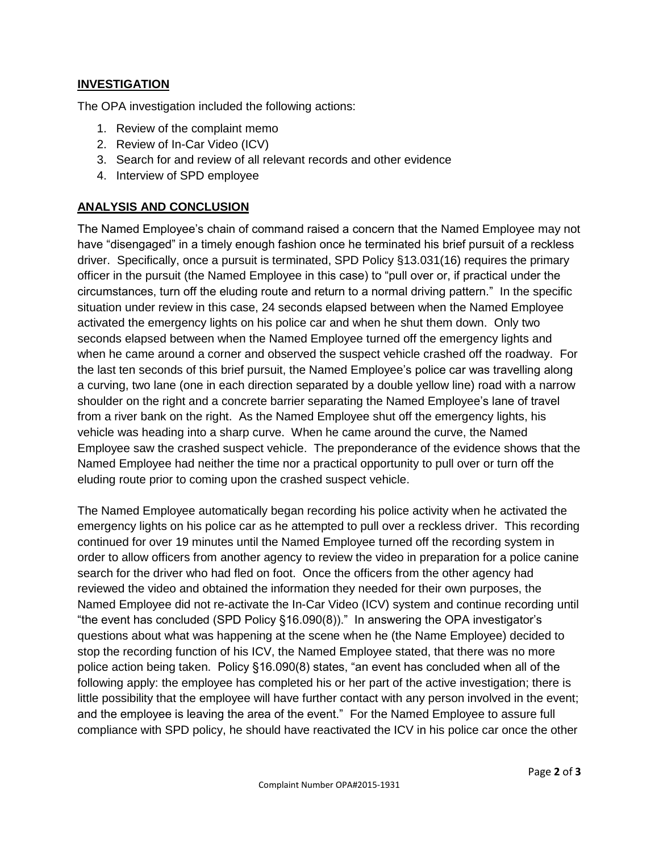#### **INVESTIGATION**

The OPA investigation included the following actions:

- 1. Review of the complaint memo
- 2. Review of In-Car Video (ICV)
- 3. Search for and review of all relevant records and other evidence
- 4. Interview of SPD employee

#### **ANALYSIS AND CONCLUSION**

The Named Employee's chain of command raised a concern that the Named Employee may not have "disengaged" in a timely enough fashion once he terminated his brief pursuit of a reckless driver. Specifically, once a pursuit is terminated, SPD Policy §13.031(16) requires the primary officer in the pursuit (the Named Employee in this case) to "pull over or, if practical under the circumstances, turn off the eluding route and return to a normal driving pattern." In the specific situation under review in this case, 24 seconds elapsed between when the Named Employee activated the emergency lights on his police car and when he shut them down. Only two seconds elapsed between when the Named Employee turned off the emergency lights and when he came around a corner and observed the suspect vehicle crashed off the roadway. For the last ten seconds of this brief pursuit, the Named Employee's police car was travelling along a curving, two lane (one in each direction separated by a double yellow line) road with a narrow shoulder on the right and a concrete barrier separating the Named Employee's lane of travel from a river bank on the right. As the Named Employee shut off the emergency lights, his vehicle was heading into a sharp curve. When he came around the curve, the Named Employee saw the crashed suspect vehicle. The preponderance of the evidence shows that the Named Employee had neither the time nor a practical opportunity to pull over or turn off the eluding route prior to coming upon the crashed suspect vehicle.

The Named Employee automatically began recording his police activity when he activated the emergency lights on his police car as he attempted to pull over a reckless driver. This recording continued for over 19 minutes until the Named Employee turned off the recording system in order to allow officers from another agency to review the video in preparation for a police canine search for the driver who had fled on foot. Once the officers from the other agency had reviewed the video and obtained the information they needed for their own purposes, the Named Employee did not re-activate the In-Car Video (ICV) system and continue recording until "the event has concluded (SPD Policy §16.090(8))." In answering the OPA investigator's questions about what was happening at the scene when he (the Name Employee) decided to stop the recording function of his ICV, the Named Employee stated, that there was no more police action being taken. Policy §16.090(8) states, "an event has concluded when all of the following apply: the employee has completed his or her part of the active investigation; there is little possibility that the employee will have further contact with any person involved in the event; and the employee is leaving the area of the event." For the Named Employee to assure full compliance with SPD policy, he should have reactivated the ICV in his police car once the other